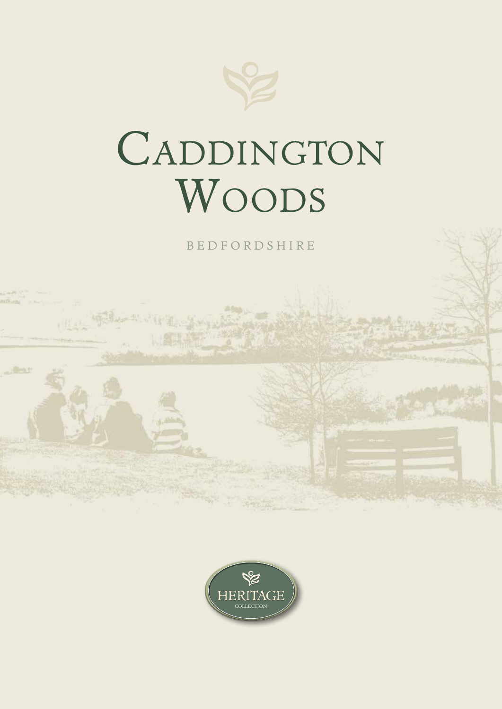

## CADDINGTON Woods

B E D F O R DS H I R E



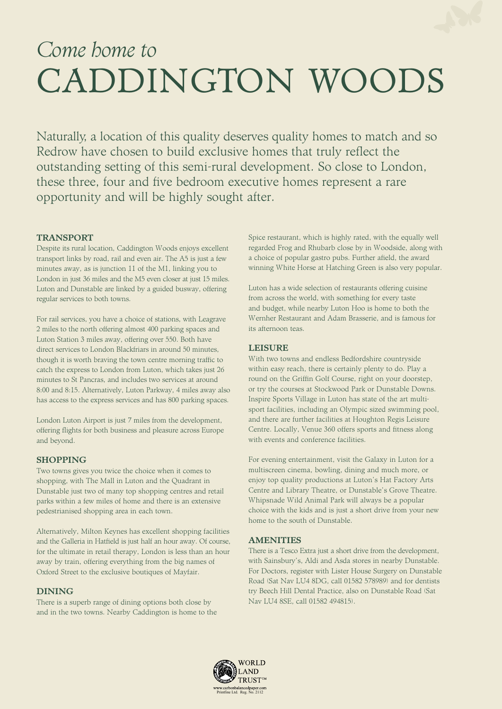## Come home to CADDINGTON WOODS

Naturally, a location of this quality deserves quality homes to match and so Redrow have chosen to build exclusive homes that truly reflect the outstanding setting of this semi-rural development. So close to London, these three, four and five bedroom executive homes represent a rare opportunity and will be highly sought after.

#### TRANSPORT

Despite its rural location, Caddington Woods enjoys excellent transport links by road, rail and even air. The A5 is just a few minutes away, as is junction 11 of the M1, linking you to London in just 36 miles and the M5 even closer at just 15 miles. Luton and Dunstable are linked by a guided busway, offering regular services to both towns.

For rail services, you have a choice of stations, with Leagrave 2 miles to the north offering almost 400 parking spaces and Luton Station 3 miles away, offering over 550. Both have direct services to London Blackfriars in around 50 minutes, though it is worth braving the town centre morning traffic to catch the express to London from Luton, which takes just 26 minutes to St Pancras, and includes two services at around 8:00 and 8:15. Alternatively, Luton Parkway, 4 miles away also has access to the express services and has 800 parking spaces.

London Luton Airport is just 7 miles from the development, offering flights for both business and pleasure across Europe and beyond.

#### SHOPPING

Two towns gives you twice the choice when it comes to shopping, with The Mall in Luton and the Quadrant in Dunstable just two of many top shopping centres and retail parks within a few miles of home and there is an extensive pedestrianised shopping area in each town.

Alternatively, Milton Keynes has excellent shopping facilities and the Galleria in Hatfield is just half an hour away. Of course, for the ultimate in retail therapy, London is less than an hour away by train, offering everything from the big names of Oxford Street to the exclusive boutiques of Mayfair.

#### DINING

There is a superb range of dining options both close by and in the two towns. Nearby Caddington is home to the Spice restaurant, which is highly rated, with the equally well regarded Frog and Rhubarb close by in Woodside, along with a choice of popular gastro pubs. Further afield, the award winning White Horse at Hatching Green is also very popular.

Luton has a wide selection of restaurants offering cuisine from across the world, with something for every taste and budget, while nearby Luton Hoo is home to both the Wernher Restaurant and Adam Brasserie, and is famous for its afternoon teas.

#### LEISURE

With two towns and endless Bedfordshire countryside within easy reach, there is certainly plenty to do. Play a round on the Griffin Golf Course, right on your doorstep, or try the courses at Stockwood Park or Dunstable Downs. Inspire Sports Village in Luton has state of the art multisport facilities, including an Olympic sized swimming pool, and there are further facilities at Houghton Regis Leisure Centre. Locally, Venue 360 offers sports and fitness along with events and conference facilities.

For evening entertainment, visit the Galaxy in Luton for a multiscreen cinema, bowling, dining and much more, or enjoy top quality productions at Luton's Hat Factory Arts Centre and Library Theatre, or Dunstable's Grove Theatre. Whipsnade Wild Animal Park will always be a popular choice with the kids and is just a short drive from your new home to the south of Dunstable.

## **AMENITIES**

There is a Tesco Extra just a short drive from the development. with Sainsbury's, Aldi and Asda stores in nearby Dunstable. For Doctors, register with Lister House Surgery on Dunstable Road (Sat Nav LU4 8DG, call 01582 578989) and for dentists try Beech Hill Dental Practice, also on Dunstable Road (Sat Nav LU4 8SE, call 01582 494815).

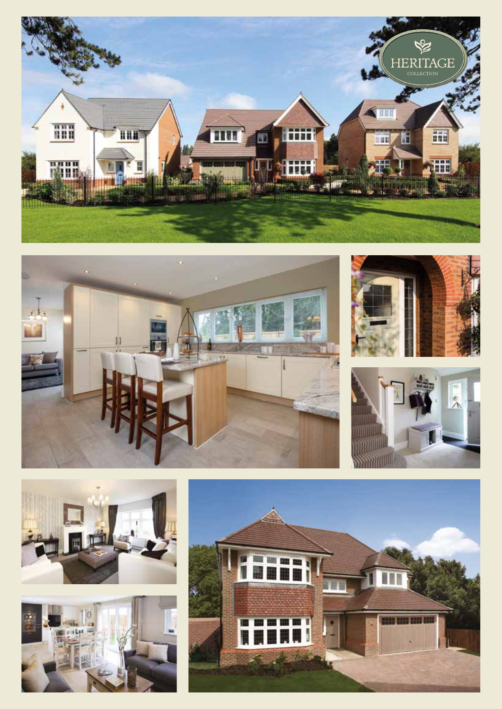











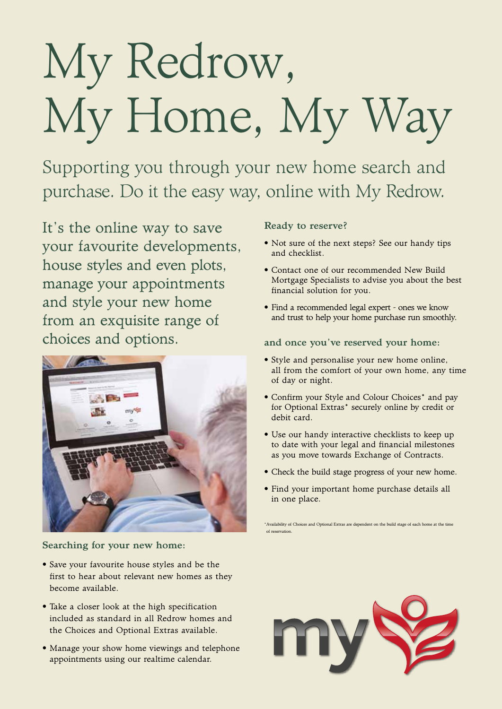# My Redrow, My Home, My Way

Supporting you through your new home search and purchase. Do it the easy way, online with My Redrow.

It's the online way to save your favourite developments, house styles and even plots, manage your appointments and style your new home from an exquisite range of choices and options.



Searching for your new home:

- Save your favourite house styles and be the first to hear about relevant new homes as they become available.
- Take a closer look at the high specification included as standard in all Redrow homes and the Choices and Optional Extras available.
- Manage your show home viewings and telephone appointments using our realtime calendar.

## Ready to reserve?

- Not sure of the next steps? See our handy tips and checklist.
- Contact one of our recommended New Build Mortgage Specialists to advise you about the best financial solution for you.
- Find a recommended legal expert ones we know and trust to help your home purchase run smoothly.

## and once you've reserved your home:

- Style and personalise your new home online, all from the comfort of your own home, any time of day or night.
- Confirm your Style and Colour Choices\* and pay for Optional Extras\* securely online by credit or debit card.
- Use our handy interactive checklists to keep up to date with your legal and financial milestones as you move towards Exchange of Contracts.
- Check the build stage progress of your new home.
- Find your important home purchase details all in one place.

\*Availability of Choices and Optional Extras are dependent on the build stage of each home at the time of reservation.

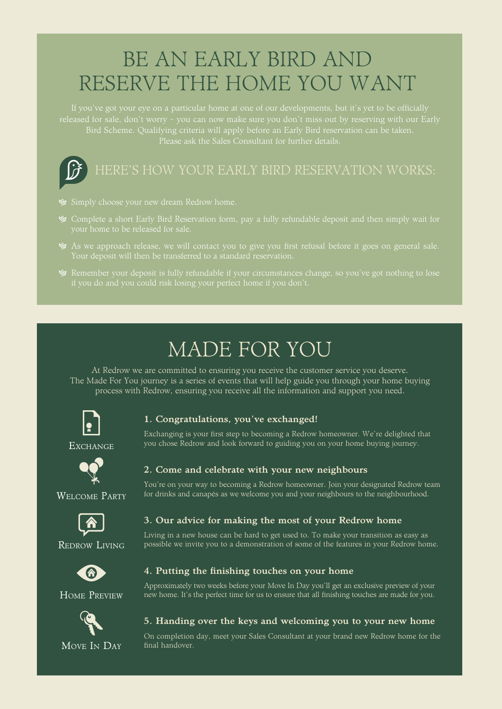## BE AN EARLY BIRD AND RESERVE THE HOME YOU WANT

Bird Scheme. Qualifying criteria will apply before an Early Bird reservation can be taken. Please ask the Sales Consultant for further details.



- 
- Complete a short Early Bird Reservation form, pay a fully refundable deposit and then simply wait for your home to be released for sale.
- As we approach release, we will contact you to give you first refusal before it goes on general sale.
- 

## MADE FOR YOU

At Redrow we are committed to ensuring you receive the customer service you deserve. The Made For You journey is a series of events that will help guide you through your home buying process with Redrow, ensuring you receive all the information and support you need.



## 1. Congratulations, you've exchanged!

Exchanging is your first step to becoming a Redrow homeowner. We're delighted that you chose Redrow and look forward to guiding you on your home buying journey.



WELCOME PARTY

**EXCHANGE** 

## 2. Come and celebrate with your new neighbours

4. Putting the finishing touches on your home

You're on your way to becoming a Redrow homeowner. Join your designated Redrow team for drinks and canapés as we welcome you and your neighbours to the neighbourhood.



## 3. Our advice for making the most of your Redrow home

Living in a new house can be hard to get used to. To make your transition as easy as possible we invite you to a demonstration of some of the features in your Redrow home.



Redrow Living

## HOME PREVIEW



## 5. Handing over the keys and welcoming you to your new home

Approximately two weeks before your Move In Day you'll get an exclusive preview of your new home. It's the perfect time for us to ensure that all finishing touches are made for you.

On completion day, meet your Sales Consultant at your brand new Redrow home for the final handover.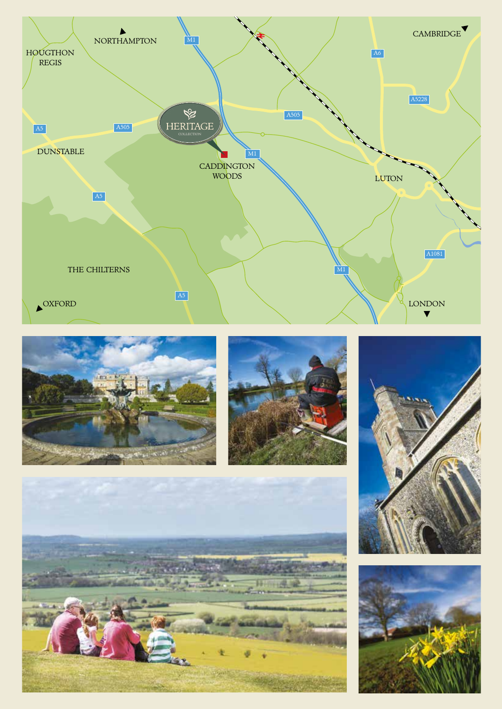